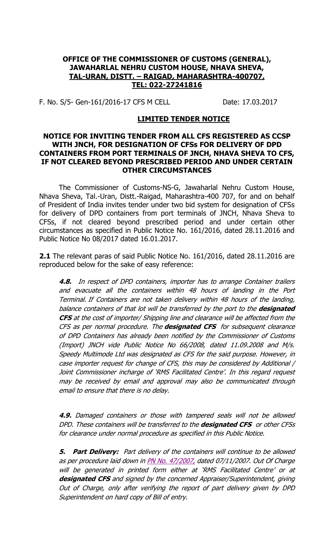#### **OFFICE OF THE COMMISSIONER OF CUSTOMS (GENERAL), JAWAHARLAL NEHRU CUSTOM HOUSE, NHAVA SHEVA, TAL-URAN, DISTT. – RAIGAD, MAHARASHTRA-400707, TEL: 022-27241816**

F. No. S/5- Gen-161/2016-17 CFS M CELL Date: 17.03.2017

#### **LIMITED TENDER NOTICE**

#### **NOTICE FOR INVITING TENDER FROM ALL CFS REGISTERED AS CCSP WITH JNCH, FOR DESIGNATION OF CFSs FOR DELIVERY OF DPD CONTAINERS FROM PORT TERMINALS OF JNCH, NHAVA SHEVA TO CFS, IF NOT CLEARED BEYOND PRESCRIBED PERIOD AND UNDER CERTAIN OTHER CIRCUMSTANCES**

The Commissioner of Customs-NS-G, Jawaharlal Nehru Custom House, Nhava Sheva, Tal.-Uran, Distt.-Raigad, Maharashtra-400 707, for and on behalf of President of India invites tender under two bid system for designation of CFSs for delivery of DPD containers from port terminals of JNCH, Nhava Sheva to CFSs, if not cleared beyond prescribed period and under certain other circumstances as specified in Public Notice No. 161/2016, dated 28.11.2016 and Public Notice No 08/2017 dated 16.01.2017.

**2.1** The relevant paras of said Public Notice No. 161/2016, dated 28.11.2016 are reproduced below for the sake of easy reference:

**4.8.** In respect of DPD containers, importer has to arrange Container trailers and evacuate all the containers within 48 hours of landing in the Port Terminal. If Containers are not taken delivery within 48 hours of the landing, balance containers of that lot will be transferred by the port to the **designated CFS** at the cost of importer/ Shipping line and clearance will be affected from the CFS as per normal procedure. The **designated CFS** for subsequent clearance of DPD Containers has already been notified by the Commissioner of Customs (Import) JNCH vide Public Notice No 66/2008, dated 11.09.2008 and M/s. Speedy Multimode Ltd was designated as CFS for the said purpose. However, in case importer request for change of CFS, this may be considered by Additional / Joint Commissioner incharge of 'RMS Facilitated Centre'. In this regard request may be received by email and approval may also be communicated through email to ensure that there is no delay.

**4.9.** Damaged containers or those with tampered seals will not be allowed DPD. These containers will be transferred to the **designated CFS** or other CFSs for clearance under normal procedure as specified in this Public Notice.

**5. Part Delivery:** Part delivery of the containers will continue to be allowed as per procedure laid down in [PN No. 47/2007,](http://www.jawaharcustoms.gov.in/newsite/PublicNotices/pn2007/PN-47-07.htm) dated 07/11/2007. Out Of Charge will be generated in printed form either at 'RMS Facilitated Centre' or at **designated CFS** and signed by the concerned Appraiser/Superintendent, giving Out of Charge, only after verifying the report of part delivery given by DPD Superintendent on hard copy of Bill of entry.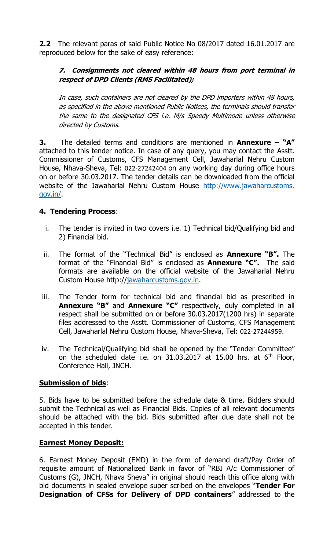**2.2** The relevant paras of said Public Notice No 08/2017 dated 16.01.2017 are reproduced below for the sake of easy reference:

### **7. Consignments not cleared within 48 hours from port terminal in respect of DPD Clients (RMS Facilitated);**

In case, such containers are not cleared by the DPD importers within 48 hours, as specified in the above mentioned Public Notices, the terminals should transfer the same to the designated CFS i.e. M/s Speedy Multimode unless otherwise directed by Customs.

**3.** The detailed terms and conditions are mentioned in **Annexure – "A"** attached to this tender notice. In case of any query, you may contact the Asstt. Commissioner of Customs, CFS Management Cell, Jawaharlal Nehru Custom House, Nhava-Sheva, Tel: 022-27242404 on any working day during office hours on or before 30.03.2017. The tender details can be downloaded from the official website of the Jawaharlal Nehru Custom House http://www.jawaharcustoms. gov.in/.

## **4. Tendering Process**:

- i. The tender is invited in two covers i.e. 1) Technical bid/Qualifying bid and 2) Financial bid.
- ii. The format of the "Technical Bid" is enclosed as **Annexure "B".** The format of the "Financial Bid" is enclosed as **Annexure "C".** The said formats are available on the official website of the Jawaharlal Nehru Custom House http:/[/jawaharcustoms.gov.in.](http://www.cbec.gov.in/)
- iii. The Tender form for technical bid and financial bid as prescribed in **Annexure "B"** and **Annexure "C"** respectively, duly completed in all respect shall be submitted on or before 30.03.2017(1200 hrs) in separate files addressed to the Asstt. Commissioner of Customs, CFS Management Cell, Jawaharlal Nehru Custom House, Nhava-Sheva, Tel: 022-27244959.
- iv. The Technical/Qualifying bid shall be opened by the "Tender Committee" on the scheduled date i.e. on  $31.03.2017$  at 15.00 hrs. at  $6<sup>th</sup>$  Floor, Conference Hall, JNCH.

### **Submission of bids**:

5. Bids have to be submitted before the schedule date & time. Bidders should submit the Technical as well as Financial Bids. Copies of all relevant documents should be attached with the bid. Bids submitted after due date shall not be accepted in this tender.

### **Earnest Money Deposit:**

6. Earnest Money Deposit (EMD) in the form of demand draft/Pay Order of requisite amount of Nationalized Bank in favor of "RBI A/c Commissioner of Customs (G), JNCH, Nhava Sheva" in original should reach this office along with bid documents in sealed envelope super scribed on the envelopes "**Tender For Designation of CFSs for Delivery of DPD containers**" addressed to the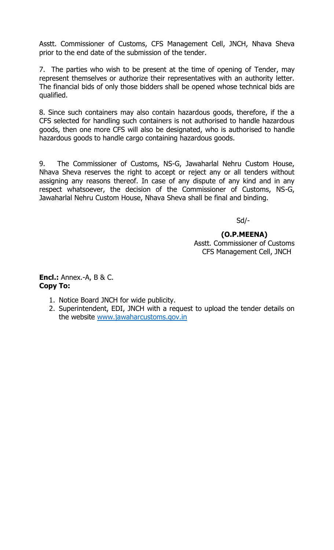Asstt. Commissioner of Customs, CFS Management Cell, JNCH, Nhava Sheva prior to the end date of the submission of the tender.

7. The parties who wish to be present at the time of opening of Tender, may represent themselves or authorize their representatives with an authority letter. The financial bids of only those bidders shall be opened whose technical bids are qualified.

8. Since such containers may also contain hazardous goods, therefore, if the a CFS selected for handling such containers is not authorised to handle hazardous goods, then one more CFS will also be designated, who is authorised to handle hazardous goods to handle cargo containing hazardous goods.

9. The Commissioner of Customs, NS-G, Jawaharlal Nehru Custom House, Nhava Sheva reserves the right to accept or reject any or all tenders without assigning any reasons thereof. In case of any dispute of any kind and in any respect whatsoever, the decision of the Commissioner of Customs, NS-G, Jawaharlal Nehru Custom House, Nhava Sheva shall be final and binding.

Sd/-

 **(O.P.MEENA)** Asstt. Commissioner of Customs CFS Management Cell, JNCH

**Encl.:** Annex.-A, B & C. **Copy To:**

- 1. Notice Board JNCH for wide publicity.
- 2. Superintendent, EDI, JNCH with a request to upload the tender details on the website [www.jawaharcustoms.gov.in](http://www.jawaharcustoms.gov.in/)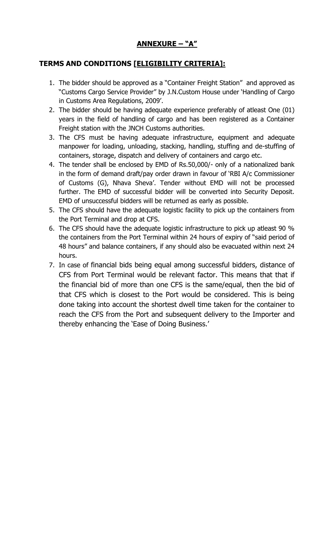# **ANNEXURE – "A"**

# **TERMS AND CONDITIONS [ELIGIBILITY CRITERIA]:**

- 1. The bidder should be approved as a "Container Freight Station" and approved as "Customs Cargo Service Provider" by J.N.Custom House under 'Handling of Cargo in Customs Area Regulations, 2009'.
- 2. The bidder should be having adequate experience preferably of atleast One (01) years in the field of handling of cargo and has been registered as a Container Freight station with the JNCH Customs authorities.
- 3. The CFS must be having adequate infrastructure, equipment and adequate manpower for loading, unloading, stacking, handling, stuffing and de-stuffing of containers, storage, dispatch and delivery of containers and cargo etc.
- 4. The tender shall be enclosed by EMD of Rs.50,000/- only of a nationalized bank in the form of demand draft/pay order drawn in favour of 'RBI A/c Commissioner of Customs (G), Nhava Sheva'. Tender without EMD will not be processed further. The EMD of successful bidder will be converted into Security Deposit. EMD of unsuccessful bidders will be returned as early as possible.
- 5. The CFS should have the adequate logistic facility to pick up the containers from the Port Terminal and drop at CFS.
- 6. The CFS should have the adequate logistic infrastructure to pick up atleast 90 % the containers from the Port Terminal within 24 hours of expiry of "said period of 48 hours" and balance containers, if any should also be evacuated within next 24 hours.
- 7. In case of financial bids being equal among successful bidders, distance of CFS from Port Terminal would be relevant factor. This means that that if the financial bid of more than one CFS is the same/equal, then the bid of that CFS which is closest to the Port would be considered. This is being done taking into account the shortest dwell time taken for the container to reach the CFS from the Port and subsequent delivery to the Importer and thereby enhancing the 'Ease of Doing Business.'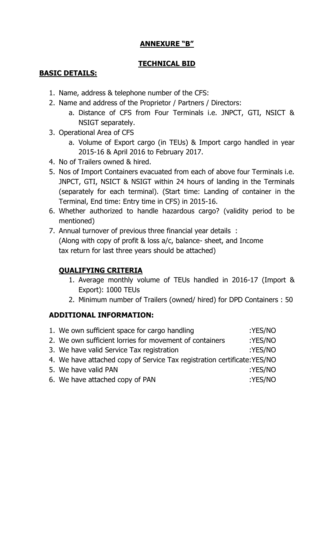# **ANNEXURE "B"**

# **TECHNICAL BID**

# **BASIC DETAILS:**

- 1. Name, address & telephone number of the CFS:
- 2. Name and address of the Proprietor / Partners / Directors:
	- a. Distance of CFS from Four Terminals i.e. JNPCT, GTI, NSICT & NSIGT separately.
- 3. Operational Area of CFS
	- a. Volume of Export cargo (in TEUs) & Import cargo handled in year 2015-16 & April 2016 to February 2017.
- 4. No of Trailers owned & hired.
- 5. Nos of Import Containers evacuated from each of above four Terminals i.e. JNPCT, GTI, NSICT & NSIGT within 24 hours of landing in the Terminals (separately for each terminal). (Start time: Landing of container in the Terminal, End time: Entry time in CFS) in 2015-16.
- 6. Whether authorized to handle hazardous cargo? (validity period to be mentioned)
- 7. Annual turnover of previous three financial year details : (Along with copy of profit & loss a/c, balance- sheet, and Income tax return for last three years should be attached)

# **QUALIFYING CRITERIA**

- 1. Average monthly volume of TEUs handled in 2016-17 (Import & Export): 1000 TEUs
- 2. Minimum number of Trailers (owned/ hired) for DPD Containers : 50

## **ADDITIONAL INFORMATION:**

| 1. We own sufficient space for cargo handling                            | :YES/NO |
|--------------------------------------------------------------------------|---------|
| 2. We own sufficient lorries for movement of containers                  | :YES/NO |
| 3. We have valid Service Tax registration                                | :YES/NO |
| 4. We have attached copy of Service Tax registration certificate: YES/NO |         |
| 5. We have valid PAN                                                     | :YES/NO |
| 6. We have attached copy of PAN                                          | :YES/NO |
|                                                                          |         |